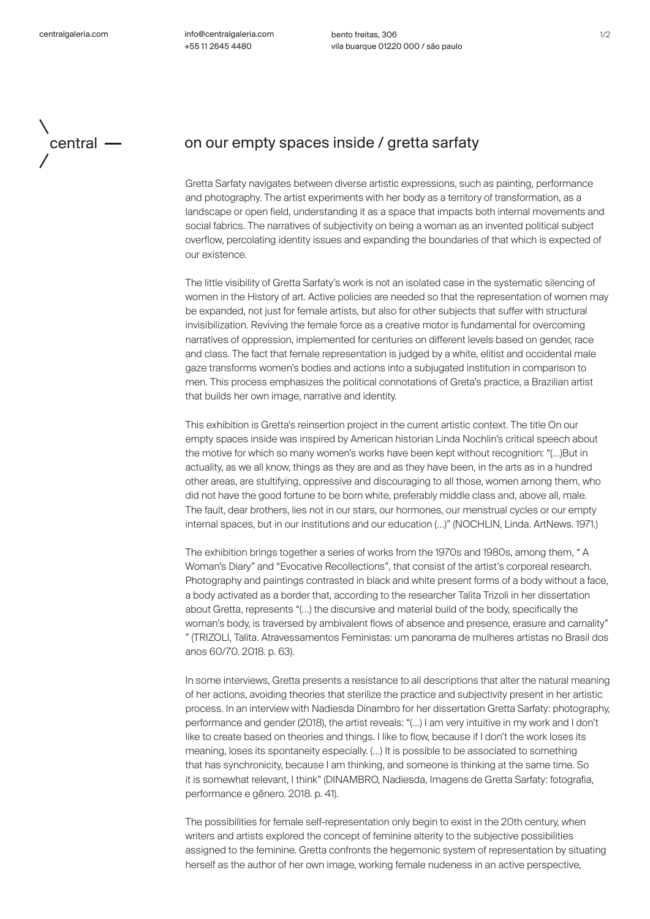info@centralgaleria.com +55 11 2645 4480

bento freitas, 306 vila buarque 01220 000 / são paulo



## central  $\longrightarrow$  on our empty spaces inside / gretta sarfaty

Gretta Sarfaty navigates between diverse artistic expressions, such as painting, performance and photography. The artist experiments with her body as a territory of transformation, as a landscape or open field, understanding it as a space that impacts both internal movements and social fabrics. The narratives of subjectivity on being a woman as an invented political subject overflow, percolating identity issues and expanding the boundaries of that which is expected of our existence.

The little visibility of Gretta Sarfaty's work is not an isolated case in the systematic silencing of women in the History of art. Active policies are needed so that the representation of women may be expanded, not just for female artists, but also for other subjects that suffer with structural invisibilization. Reviving the female force as a creative motor is fundamental for overcoming narratives of oppression, implemented for centuries on different levels based on gender, race and class. The fact that female representation is judged by a white, elitist and occidental male gaze transforms women's bodies and actions into a subjugated institution in comparison to men. This process emphasizes the political connotations of Greta's practice, a Brazilian artist that builds her own image, narrative and identity.

This exhibition is Gretta's reinsertion project in the current artistic context. The title On our empty spaces inside was inspired by American historian Linda Nochlin's critical speech about the motive for which so many women's works have been kept without recognition: "(…)But in actuality, as we all know, things as they are and as they have been, in the arts as in a hundred other areas, are stultifying, oppressive and discouraging to all those, women among them, who did not have the good fortune to be born white, preferably middle class and, above all, male. The fault, dear brothers, lies not in our stars, our hormones, our menstrual cycles or our empty internal spaces, but in our institutions and our education (…)" (NOCHLIN, Linda. ArtNews. 1971.)

The exhibition brings together a series of works from the 1970s and 1980s, among them, " A Woman's Diary" and "Evocative Recollections", that consist of the artist's corporeal research. Photography and paintings contrasted in black and white present forms of a body without a face, a body activated as a border that, according to the researcher Talita Trizoli in her dissertation about Gretta, represents "(…) the discursive and material build of the body, specifically the woman's body, is traversed by ambivalent flows of absence and presence, erasure and carnality" " (TRIZOLI, Talita. Atravessamentos Feministas: um panorama de mulheres artistas no Brasil dos anos 60/70. 2018. p. 63).

In some interviews, Gretta presents a resistance to all descriptions that alter the natural meaning of her actions, avoiding theories that sterilize the practice and subjectivity present in her artistic process. In an interview with Nadiesda Dinambro for her dissertation Gretta Sarfaty: photography, performance and gender (2018), the artist reveals: "(…) I am very intuitive in my work and I don't like to create based on theories and things. I like to flow, because if I don't the work loses its meaning, loses its spontaneity especially. (…) It is possible to be associated to something that has synchronicity, because I am thinking, and someone is thinking at the same time. So it is somewhat relevant, I think" (DINAMBRO, Nadiesda, Imagens de Gretta Sarfaty: fotografia, performance e gênero. 2018. p. 41).

The possibilities for female self-representation only begin to exist in the 20th century, when writers and artists explored the concept of feminine alterity to the subjective possibilities assigned to the feminine. Gretta confronts the hegemonic system of representation by situating herself as the author of her own image, working female nudeness in an active perspective,